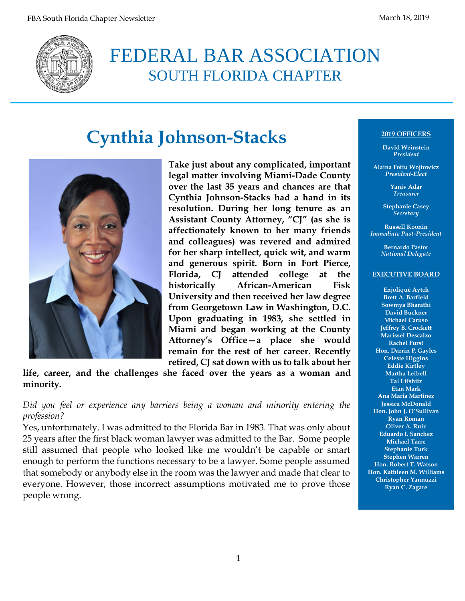

## FEDERAL BAR ASSOCIATION SOUTH FLORIDA CHAPTER

# **Cynthia Johnson-Stacks**



**Take just about any complicated, important legal matter involving Miami-Dade County over the last 35 years and chances are that Cynthia Johnson-Stacks had a hand in its resolution. During her long tenure as an Assistant County Attorney, "CJ" (as she is affectionately known to her many friends and colleagues) was revered and admired for her sharp intellect, quick wit, and warm and generous spirit. Born in Fort Pierce, Florida, CJ attended college at the historically African-American Fisk University and then received her law degree from Georgetown Law in Washington, D.C. Upon graduating in 1983, she settled in Miami and began working at the County Attorney's Office—a place she would remain for the rest of her career. Recently retired, CJ sat down with us to talk about her** 

**life, career, and the challenges she faced over the years as a woman and minority.**

*Did you feel or experience any barriers being a woman and minority entering the profession?*

Yes, unfortunately. I was admitted to the Florida Bar in 1983. That was only about 25 years after the first black woman lawyer was admitted to the Bar. Some people still assumed that people who looked like me wouldn't be capable or smart enough to perform the functions necessary to be a lawyer. Some people assumed that somebody or anybody else in the room was the lawyer and made that clear to everyone. However, those incorrect assumptions motivated me to prove those people wrong.

#### **2019 OFFICERS**

**David Weinstein** *President*

**Alaina Fotiu Wojtowicz** *President-Elect*

> **Yaniv Adar** *Treasurer*

**Stephanie Casey** *Secretary*

**Russell Koonin** *Immediate Past-President*

> **Bernardo Pastor** *National Delegate*

#### **EXECUTIVE BOARD**

**Enjoliqué Aytch Brett A. Barfield Sowmya Bharathi David Buckner Michael Caruso Jeffrey B. Crockett Marissel Descalzo Rachel Furst Hon. Darrin P. Gayles Celeste Higgins Eddie Kirtley Martha Leibell Tal Lifshitz Etan Mark Ana Maria Martinez Jessica McDonald Hon. John J. O'Sullivan Ryan Roman Oliver A. Ruiz Eduardo I. Sanchez Michael Tarre Stephanie Turk Stephen Warren Hon. Robert T. Watson Hon. Kathleen M. Williams Christopher Yannuzzi Ryan C. Zagare**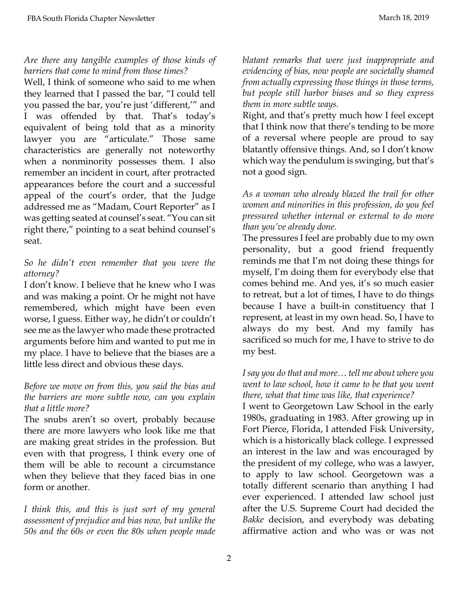#### *Are there any tangible examples of those kinds of barriers that come to mind from those times?*

Well, I think of someone who said to me when they learned that I passed the bar, "I could tell you passed the bar, you're just 'different,'" and I was offended by that. That's today's equivalent of being told that as a minority lawyer you are "articulate." Those same characteristics are generally not noteworthy when a nonminority possesses them. I also remember an incident in court, after protracted appearances before the court and a successful appeal of the court's order, that the Judge addressed me as "Madam, Court Reporter" as I was getting seated at counsel's seat. "You can sit right there," pointing to a seat behind counsel's seat.

#### *So he didn't even remember that you were the attorney?*

I don't know. I believe that he knew who I was and was making a point. Or he might not have remembered, which might have been even worse, I guess. Either way, he didn't or couldn't see me as the lawyer who made these protracted arguments before him and wanted to put me in my place. I have to believe that the biases are a little less direct and obvious these days.

#### *Before we move on from this, you said the bias and the barriers are more subtle now, can you explain that a little more?*

The snubs aren't so overt, probably because there are more lawyers who look like me that are making great strides in the profession. But even with that progress, I think every one of them will be able to recount a circumstance when they believe that they faced bias in one form or another.

*I think this, and this is just sort of my general assessment of prejudice and bias now, but unlike the 50s and the 60s or even the 80s when people made*  *blatant remarks that were just inappropriate and evidencing of bias, now people are societally shamed from actually expressing those things in those terms, but people still harbor biases and so they express them in more subtle ways.*

Right, and that's pretty much how I feel except that I think now that there's tending to be more of a reversal where people are proud to say blatantly offensive things. And, so I don't know which way the pendulum is swinging, but that's not a good sign.

*As a woman who already blazed the trail for other women and minorities in this profession, do you feel pressured whether internal or external to do more than you've already done.* 

The pressures I feel are probably due to my own personality, but a good friend frequently reminds me that I'm not doing these things for myself, I'm doing them for everybody else that comes behind me. And yes, it's so much easier to retreat, but a lot of times, I have to do things because I have a built-in constituency that I represent, at least in my own head. So, I have to always do my best. And my family has sacrificed so much for me, I have to strive to do my best.

#### *I say you do that and more… tell me about where you went to law school, how it came to be that you went there, what that time was like, that experience?*

I went to Georgetown Law School in the early 1980s, graduating in 1983. After growing up in Fort Pierce, Florida, I attended Fisk University, which is a historically black college. I expressed an interest in the law and was encouraged by the president of my college, who was a lawyer, to apply to law school. Georgetown was a totally different scenario than anything I had ever experienced. I attended law school just after the U.S. Supreme Court had decided the *Bakke* decision, and everybody was debating affirmative action and who was or was not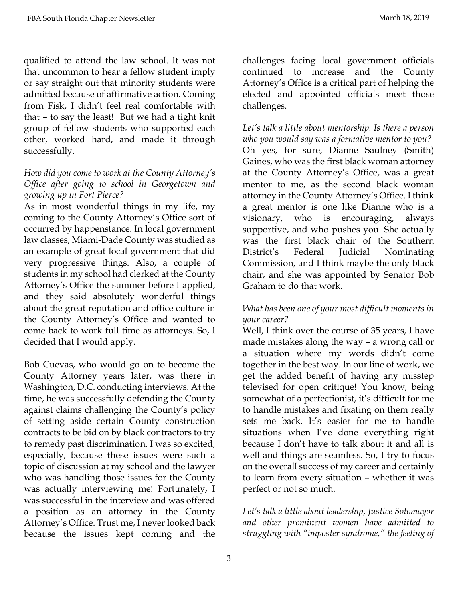qualified to attend the law school. It was not that uncommon to hear a fellow student imply or say straight out that minority students were admitted because of affirmative action. Coming from Fisk, I didn't feel real comfortable with that – to say the least! But we had a tight knit group of fellow students who supported each other, worked hard, and made it through successfully.

#### *How did you come to work at the County Attorney's Office after going to school in Georgetown and growing up in Fort Pierce?*

As in most wonderful things in my life, my coming to the County Attorney's Office sort of occurred by happenstance. In local government law classes, Miami-Dade County was studied as an example of great local government that did very progressive things. Also, a couple of students in my school had clerked at the County Attorney's Office the summer before I applied, and they said absolutely wonderful things about the great reputation and office culture in the County Attorney's Office and wanted to come back to work full time as attorneys. So, I decided that I would apply.

Bob Cuevas, who would go on to become the County Attorney years later, was there in Washington, D.C. conducting interviews. At the time, he was successfully defending the County against claims challenging the County's policy of setting aside certain County construction contracts to be bid on by black contractors to try to remedy past discrimination. I was so excited, especially, because these issues were such a topic of discussion at my school and the lawyer who was handling those issues for the County was actually interviewing me! Fortunately, I was successful in the interview and was offered a position as an attorney in the County Attorney's Office. Trust me, I never looked back because the issues kept coming and the challenges facing local government officials continued to increase and the County Attorney's Office is a critical part of helping the elected and appointed officials meet those challenges.

*Let's talk a little about mentorship. Is there a person who you would say was a formative mentor to you?*  Oh yes, for sure, Dianne Saulney (Smith) Gaines, who was the first black woman attorney at the County Attorney's Office, was a great mentor to me, as the second black woman attorney in the County Attorney's Office. I think a great mentor is one like Dianne who is a visionary, who is encouraging, always supportive, and who pushes you. She actually was the first black chair of the Southern District's Federal Judicial Nominating Commission, and I think maybe the only black chair, and she was appointed by Senator Bob Graham to do that work.

### *What has been one of your most difficult moments in your career?*

Well, I think over the course of 35 years, I have made mistakes along the way – a wrong call or a situation where my words didn't come together in the best way. In our line of work, we get the added benefit of having any misstep televised for open critique! You know, being somewhat of a perfectionist, it's difficult for me to handle mistakes and fixating on them really sets me back. It's easier for me to handle situations when I've done everything right because I don't have to talk about it and all is well and things are seamless. So, I try to focus on the overall success of my career and certainly to learn from every situation – whether it was perfect or not so much.

*Let's talk a little about leadership, Justice Sotomayor and other prominent women have admitted to struggling with "imposter syndrome," the feeling of*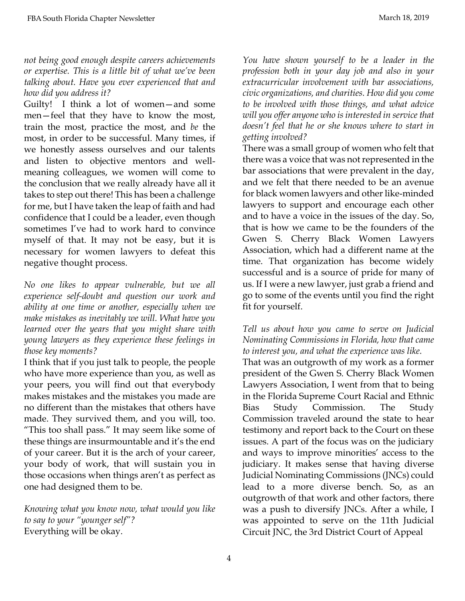#### *not being good enough despite careers achievements or expertise. This is a little bit of what we've been talking about. Have you ever experienced that and how did you address it?*

Guilty! I think a lot of women—and some men—feel that they have to know the most, train the most, practice the most, and *be* the most, in order to be successful. Many times, if we honestly assess ourselves and our talents and listen to objective mentors and wellmeaning colleagues, we women will come to the conclusion that we really already have all it takes to step out there! This has been a challenge for me, but I have taken the leap of faith and had confidence that I could be a leader, even though sometimes I've had to work hard to convince myself of that. It may not be easy, but it is necessary for women lawyers to defeat this negative thought process.

*No one likes to appear vulnerable, but we all experience self-doubt and question our work and ability at one time or another, especially when we make mistakes as inevitably we will. What have you learned over the years that you might share with young lawyers as they experience these feelings in those key moments?*

I think that if you just talk to people, the people who have more experience than you, as well as your peers, you will find out that everybody makes mistakes and the mistakes you made are no different than the mistakes that others have made. They survived them, and you will, too. "This too shall pass." It may seem like some of these things are insurmountable and it's the end of your career. But it is the arch of your career, your body of work, that will sustain you in those occasions when things aren't as perfect as one had designed them to be.

*Knowing what you know now, what would you like to say to your "younger self"?*  Everything will be okay.

*You have shown yourself to be a leader in the profession both in your day job and also in your extracurricular involvement with bar associations, civic organizations, and charities. How did you come to be involved with those things, and what advice will you offer anyone who is interested in service that doesn't feel that he or she knows where to start in getting involved?*

There was a small group of women who felt that there was a voice that was not represented in the bar associations that were prevalent in the day, and we felt that there needed to be an avenue for black women lawyers and other like-minded lawyers to support and encourage each other and to have a voice in the issues of the day. So, that is how we came to be the founders of the Gwen S. Cherry Black Women Lawyers Association, which had a different name at the time. That organization has become widely successful and is a source of pride for many of us. If I were a new lawyer, just grab a friend and go to some of the events until you find the right fit for yourself.

### *Tell us about how you came to serve on Judicial Nominating Commissions in Florida, how that came to interest you, and what the experience was like.*

That was an outgrowth of my work as a former president of the Gwen S. Cherry Black Women Lawyers Association, I went from that to being in the Florida Supreme Court Racial and Ethnic Bias Study Commission. The Study Commission traveled around the state to hear testimony and report back to the Court on these issues. A part of the focus was on the judiciary and ways to improve minorities' access to the judiciary. It makes sense that having diverse Judicial Nominating Commissions (JNCs) could lead to a more diverse bench. So, as an outgrowth of that work and other factors, there was a push to diversify JNCs. After a while, I was appointed to serve on the 11th Judicial Circuit JNC, the 3rd District Court of Appeal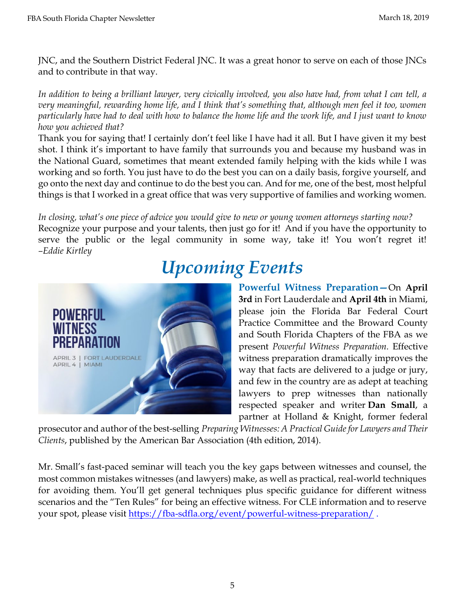JNC, and the Southern District Federal JNC. It was a great honor to serve on each of those JNCs and to contribute in that way.

*In addition to being a brilliant lawyer, very civically involved, you also have had, from what I can tell, a very meaningful, rewarding home life, and I think that's something that, although men feel it too, women particularly have had to deal with how to balance the home life and the work life, and I just want to know how you achieved that?*

Thank you for saying that! I certainly don't feel like I have had it all. But I have given it my best shot. I think it's important to have family that surrounds you and because my husband was in the National Guard, sometimes that meant extended family helping with the kids while I was working and so forth. You just have to do the best you can on a daily basis, forgive yourself, and go onto the next day and continue to do the best you can. And for me, one of the best, most helpful things is that I worked in a great office that was very supportive of families and working women.

*In closing, what's one piece of advice you would give to new or young women attorneys starting now?* Recognize your purpose and your talents, then just go for it! And if you have the opportunity to serve the public or the legal community in some way, take it! You won't regret it! *–Eddie Kirtley*

# *Upcoming Events*



**Powerful Witness Preparation—**On **April 3rd** in Fort Lauderdale and **April 4th** in Miami, please join the Florida Bar Federal Court Practice Committee and the Broward County and South Florida Chapters of the FBA as we present *Powerful Witness Preparation.* Effective witness preparation dramatically improves the way that facts are delivered to a judge or jury, and few in the country are as adept at teaching lawyers to prep witnesses than nationally respected speaker and writer **Dan [Small](https://www.hklaw.com/Daniel-Small/)**, a partner at Holland & Knight, former federal

prosecutor and author of the best-selling *Preparing [Witnesses:](https://www.amazon.com/Preparing-Witnesses-Daniel-I-Small/dp/1604424788) A Practical Guidefor Lawyers and Their [Clients](https://www.amazon.com/Preparing-Witnesses-Daniel-I-Small/dp/1604424788)*, published by the American Bar Association (4th edition, 2014).

Mr. Small's fast-paced seminar will teach you the key gaps between witnesses and counsel, the most common mistakes witnesses (and lawyers) make, as well as practical, real-world techniques for avoiding them. You'll get general techniques plus specific guidance for different witness scenarios and the "Ten Rules" for being an effective witness. For CLE information and to reserve your spot, please visit<https://fba-sdfla.org/event/powerful-witness-preparation/> .